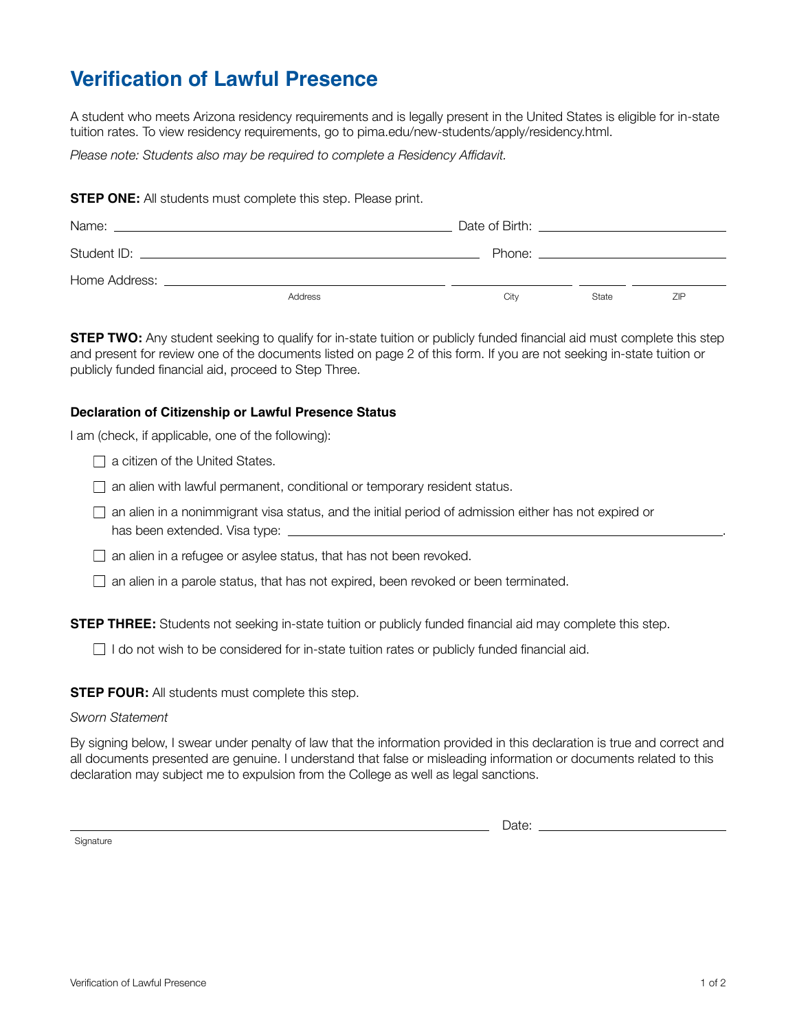# **Verification of Lawful Presence**

A student who meets Arizona residency requirements and is legally present in the United States is eligible for in-state tuition rates. To view residency requirements, go to pima.edu/new-students/apply/residency.html.

*Please note: Students also may be required to complete a Residency Affidavit.*

**STEP ONE:** All students must complete this step. Please print.

| Name:         | <u> 1989 - Jan Sterling von Berling von Berling von Berling von Berling von Berling von Berling von Berling von B</u> |      | Date of Birth: the contract of the contract of the contract of the contract of the contract of the contract of the contract of the contract of the contract of the contract of the contract of the contract of the contract of |     |
|---------------|-----------------------------------------------------------------------------------------------------------------------|------|--------------------------------------------------------------------------------------------------------------------------------------------------------------------------------------------------------------------------------|-----|
|               |                                                                                                                       |      | Phone: the contract of the contract of the contract of the contract of the contract of the contract of the contract of the contract of the contract of the contract of the contract of the contract of the contract of the con |     |
| Home Address: |                                                                                                                       |      |                                                                                                                                                                                                                                |     |
|               | Address                                                                                                               | Citv | State                                                                                                                                                                                                                          | ZIP |

**STEP TWO:** Any student seeking to qualify for in-state tuition or publicly funded financial aid must complete this step and present for review one of the documents listed on page 2 of this form. If you are not seeking in-state tuition or publicly funded financial aid, proceed to Step Three.

#### **Declaration of Citizenship or Lawful Presence Status**

I am (check, if applicable, one of the following):

 $\Box$  a citizen of the United States.

 $\Box$  an alien with lawful permanent, conditional or temporary resident status.

 $\Box$  an alien in a nonimmigrant visa status, and the initial period of admission either has not expired or has been extended. Visa type:

 $\Box$  an alien in a refugee or asylee status, that has not been revoked.

 $\Box$  an alien in a parole status, that has not expired, been revoked or been terminated.

**STEP THREE:** Students not seeking in-state tuition or publicly funded financial aid may complete this step.

 $\Box$  I do not wish to be considered for in-state tuition rates or publicly funded financial aid.

**STEP FOUR:** All students must complete this step.

#### *Sworn Statement*

By signing below, I swear under penalty of law that the information provided in this declaration is true and correct and all documents presented are genuine. I understand that false or misleading information or documents related to this declaration may subject me to expulsion from the College as well as legal sanctions.

**Signature** 

Date: